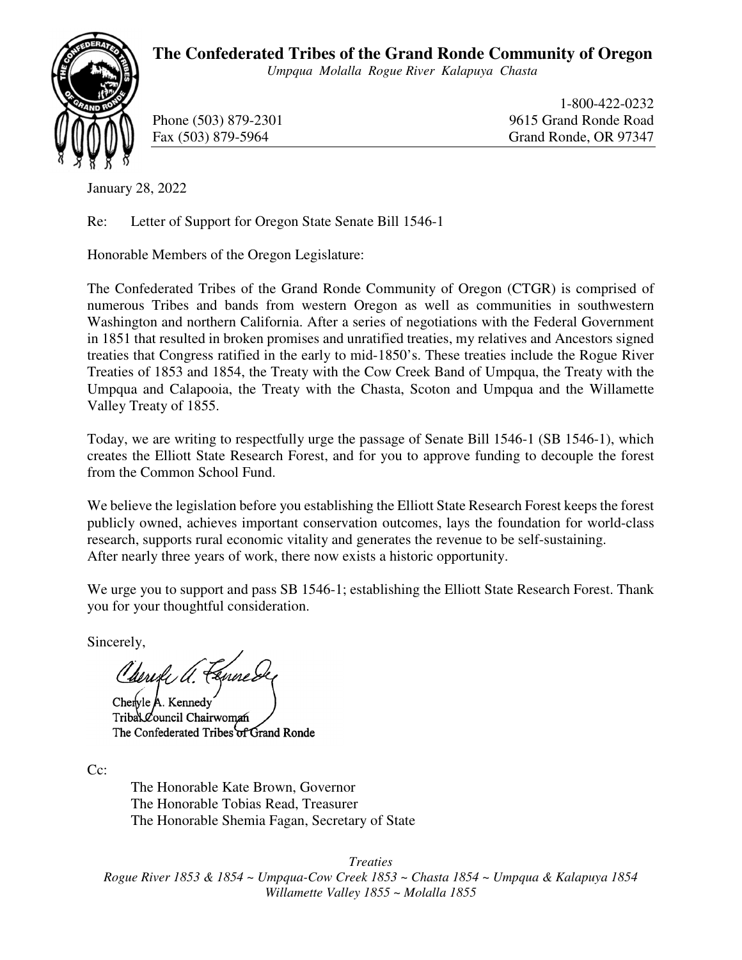## **The Confederated Tribes of the Grand Ronde Community of Oregon**

*Umpqua Molalla Rogue River Kalapuya Chasta* 



 1-800-422-0232 Phone (503) 879-2301 9615 Grand Ronde Road Fax (503) 879-5964 Grand Ronde, OR 97347

January 28, 2022

Re: Letter of Support for Oregon State Senate Bill 1546-1

Honorable Members of the Oregon Legislature:

The Confederated Tribes of the Grand Ronde Community of Oregon (CTGR) is comprised of numerous Tribes and bands from western Oregon as well as communities in southwestern Washington and northern California. After a series of negotiations with the Federal Government in 1851 that resulted in broken promises and unratified treaties, my relatives and Ancestors signed treaties that Congress ratified in the early to mid-1850's. These treaties include the Rogue River Treaties of 1853 and 1854, the Treaty with the Cow Creek Band of Umpqua, the Treaty with the Umpqua and Calapooia, the Treaty with the Chasta, Scoton and Umpqua and the Willamette Valley Treaty of 1855.

Today, we are writing to respectfully urge the passage of Senate Bill 1546-1 (SB 1546-1), which creates the Elliott State Research Forest, and for you to approve funding to decouple the forest from the Common School Fund.

We believe the legislation before you establishing the Elliott State Research Forest keeps the forest publicly owned, achieves important conservation outcomes, lays the foundation for world-class research, supports rural economic vitality and generates the revenue to be self-sustaining. After nearly three years of work, there now exists a historic opportunity.

We urge you to support and pass SB 1546-1; establishing the Elliott State Research Forest. Thank you for your thoughtful consideration.

Sincerely,

Cherile a Fennes

Chervle A. Kennedy Tribal Council Chairwoman The Confederated Tribes of Grand Ronde

Cc:

The Honorable Kate Brown, Governor The Honorable Tobias Read, Treasurer The Honorable Shemia Fagan, Secretary of State

*Treaties Rogue River 1853 & 1854 ~ Umpqua-Cow Creek 1853 ~ Chasta 1854 ~ Umpqua & Kalapuya 1854 Willamette Valley 1855 ~ Molalla 1855*